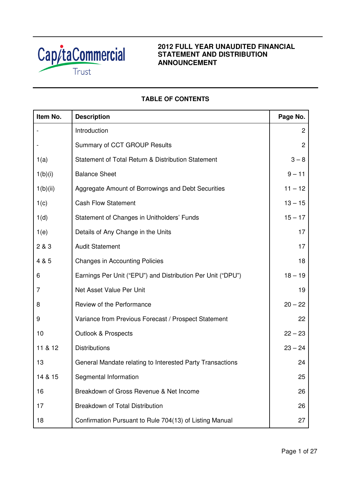

### **2012 FULL YEAR UNAUDITED FINANCIAL STATEMENT AND DISTRIBUTION ANNOUNCEMENT**

### **TABLE OF CONTENTS**

| Item No. | <b>Description</b>                                          | Page No.       |
|----------|-------------------------------------------------------------|----------------|
|          | Introduction                                                | $\overline{2}$ |
|          | Summary of CCT GROUP Results                                | $\overline{2}$ |
| 1(a)     | Statement of Total Return & Distribution Statement          | $3 - 8$        |
| 1(b)(i)  | <b>Balance Sheet</b>                                        | $9 - 11$       |
| 1(b)(ii) | Aggregate Amount of Borrowings and Debt Securities          | $11 - 12$      |
| 1(c)     | <b>Cash Flow Statement</b>                                  | $13 - 15$      |
| 1(d)     | Statement of Changes in Unitholders' Funds                  | $15 - 17$      |
| 1(e)     | Details of Any Change in the Units                          | 17             |
| 2 & 3    | <b>Audit Statement</b>                                      | 17             |
| 4 & 5    | <b>Changes in Accounting Policies</b>                       | 18             |
| 6        | Earnings Per Unit ("EPU") and Distribution Per Unit ("DPU") | $18 - 19$      |
| 7        | Net Asset Value Per Unit                                    | 19             |
| 8        | Review of the Performance                                   | $20 - 22$      |
| 9        | Variance from Previous Forecast / Prospect Statement        | 22             |
| 10       | <b>Outlook &amp; Prospects</b>                              | $22 - 23$      |
| 11 & 12  | <b>Distributions</b>                                        | $23 - 24$      |
| 13       | General Mandate relating to Interested Party Transactions   | 24             |
| 14 & 15  | Segmental Information                                       | 25             |
| 16       | Breakdown of Gross Revenue & Net Income                     | 26             |
| 17       | Breakdown of Total Distribution                             | 26             |
| 18       | Confirmation Pursuant to Rule 704(13) of Listing Manual     | 27             |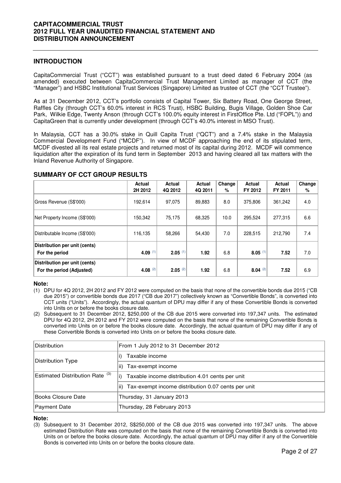#### **INTRODUCTION**

CapitaCommercial Trust ("CCT") was established pursuant to a trust deed dated 6 February 2004 (as amended) executed between CapitaCommercial Trust Management Limited as manager of CCT (the "Manager") and HSBC Institutional Trust Services (Singapore) Limited as trustee of CCT (the "CCT Trustee").

As at 31 December 2012, CCT's portfolio consists of Capital Tower, Six Battery Road, One George Street, Raffles City (through CCT's 60.0% interest in RCS Trust), HSBC Building, Bugis Village, Golden Shoe Car Park, Wilkie Edge, Twenty Anson (through CCT's 100.0% equity interest in FirstOffice Pte. Ltd ("FOPL")) and CapitaGreen that is currently under development (through CCT's 40.0% interest in MSO Trust).

In Malaysia, CCT has a 30.0% stake in Quill Capita Trust ("QCT") and a 7.4% stake in the Malaysia Commercial Development Fund ("MCDF"). In view of MCDF approaching the end of its stipulated term, MCDF divested all its real estate projects and returned most of its capital during 2012. MCDF will commence liquidation after the expiration of its fund term in September 2013 and having cleared all tax matters with the Inland Revenue Authority of Singapore.

# **SUMMARY OF CCT GROUP RESULTS**

|                                                            | Actual<br>2H 2012 | Actual<br>4Q 2012 | Actual<br>4Q 2011 | Change<br>% | <b>Actual</b><br>FY 2012 | Actual<br>FY 2011 | Change<br>% |
|------------------------------------------------------------|-------------------|-------------------|-------------------|-------------|--------------------------|-------------------|-------------|
| Gross Revenue (S\$'000)                                    | 192.614           | 97.075            | 89.883            | 8.0         | 375,806                  | 361,242           | 4.0         |
| Net Property Income (S\$'000)                              | 150.342           | 75.175            | 68.325            | 10.0        | 295,524                  | 277,315           | 6.6         |
| Distributable Income (S\$'000)                             | 116,135           | 58,266            | 54,430            | 7.0         | 228,515                  | 212,790           | 7.4         |
| Distribution per unit (cents)<br>For the period            | 4.09 $(1)$        | $2.05$ (1)        | 1.92              | 6.8         | $8.05^{(1)}$             | 7.52              | 7.0         |
| Distribution per unit (cents)<br>For the period (Adjusted) | 4.08 $(2)$        | $2.05^{(2)}$      | 1.92              | 6.8         | $8.04^{(2)}$             | 7.52              | 6.9         |

#### **Note:**

- (1) DPU for 4Q 2012, 2H 2012 and FY 2012 were computed on the basis that none of the convertible bonds due 2015 ("CB due 2015") or convertible bonds due 2017 ("CB due 2017") collectively known as "Convertible Bonds", is converted into CCT units ("Units"). Accordingly, the actual quantum of DPU may differ if any of these Convertible Bonds is converted into Units on or before the books closure date.
- (2) Subsequent to 31 December 2012, \$250,000 of the CB due 2015 were converted into 197,347 units. The estimated DPU for 4Q 2012, 2H 2012 and FY 2012 were computed on the basis that none of the remaining Convertible Bonds is converted into Units on or before the books closure date. Accordingly, the actual quantum of DPU may differ if any of these Convertible Bonds is converted into Units on or before the books closure date.

| <b>Distribution</b>                        | From 1 July 2012 to 31 December 2012                   |
|--------------------------------------------|--------------------------------------------------------|
| Distribution Type                          | Taxable income                                         |
|                                            | Tax-exempt income<br>lii)                              |
| Estimated Distribution Rate <sup>(3)</sup> | li)<br>Taxable income distribution 4.01 cents per unit |
|                                            | ii) Tax-exempt income distribution 0.07 cents per unit |
| Books Closure Date                         | Thursday, 31 January 2013                              |
| Payment Date                               | Thursday, 28 February 2013                             |

#### **Note:**

(3) Subsequent to 31 December 2012, S\$250,000 of the CB due 2015 was converted into 197,347 units. The above estimated Distribution Rate was computed on the basis that none of the remaining Convertible Bonds is converted into Units on or before the books closure date. Accordingly, the actual quantum of DPU may differ if any of the Convertible Bonds is converted into Units on or before the books closure date.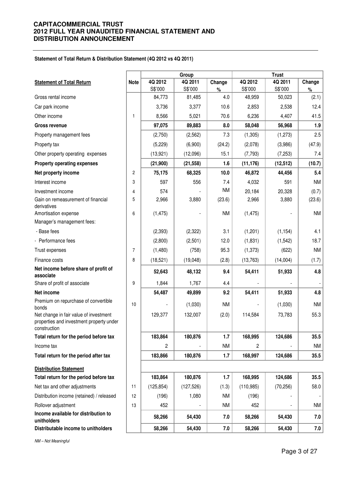#### **Statement of Total Return & Distribution Statement (4Q 2012 vs 4Q 2011)**

|                                                                                                    |                |            | Group      |           |            | <b>Trust</b> |           |
|----------------------------------------------------------------------------------------------------|----------------|------------|------------|-----------|------------|--------------|-----------|
| <b>Statement of Total Return</b>                                                                   | <b>Note</b>    | 4Q 2012    | 4Q 2011    | Change    | 4Q 2012    | 4Q 2011      | Change    |
|                                                                                                    |                | S\$'000    | S\$'000    | %         | S\$'000    | S\$'000      | $\%$      |
| Gross rental income                                                                                |                | 84,773     | 81,485     | 4.0       | 48,959     | 50,023       | (2.1)     |
| Car park income                                                                                    |                | 3,736      | 3,377      | 10.6      | 2,853      | 2,538        | 12.4      |
| Other income                                                                                       | 1              | 8,566      | 5,021      | 70.6      | 6,236      | 4,407        | 41.5      |
| Gross revenue                                                                                      |                | 97,075     | 89,883     | 8.0       | 58,048     | 56,968       | 1.9       |
| Property management fees                                                                           |                | (2,750)    | (2, 562)   | 7.3       | (1,305)    | (1,273)      | 2.5       |
| Property tax                                                                                       |                | (5,229)    | (6,900)    | (24.2)    | (2,078)    | (3,986)      | (47.9)    |
| Other property operating expenses                                                                  |                | (13, 921)  | (12,096)   | 15.1      | (7, 793)   | (7,253)      | 7.4       |
| <b>Property operating expenses</b>                                                                 |                | (21,900)   | (21, 558)  | 1.6       | (11, 176)  | (12, 512)    | (10.7)    |
| Net property income                                                                                | $\overline{2}$ | 75,175     | 68,325     | 10.0      | 46,872     | 44,456       | 5.4       |
| Interest income                                                                                    | 3              | 597        | 556        | 7.4       | 4,032      | 591          | <b>NM</b> |
| Investment income                                                                                  | 4              | 574        |            | <b>NM</b> | 20,184     | 20,328       | (0.7)     |
| Gain on remeasurement of financial<br>derivatives                                                  | 5              | 2,966      | 3,880      | (23.6)    | 2,966      | 3,880        | (23.6)    |
| Amortisation expense                                                                               | 6              | (1, 475)   |            | <b>NM</b> | (1, 475)   |              | <b>NM</b> |
| Manager's management fees:                                                                         |                |            |            |           |            |              |           |
| - Base fees                                                                                        |                | (2, 393)   | (2, 322)   | 3.1       | (1,201)    | (1, 154)     | 4.1       |
| - Performance fees                                                                                 |                | (2,800)    | (2,501)    | 12.0      | (1,831)    | (1, 542)     | 18.7      |
| Trust expenses                                                                                     | $\overline{7}$ | (1,480)    | (758)      | 95.3      | (1, 373)   | (622)        | <b>NM</b> |
| Finance costs                                                                                      | 8              | (18, 521)  | (19,048)   | (2.8)     | (13, 763)  | (14,004)     | (1.7)     |
| Net income before share of profit of<br>associate                                                  |                | 52,643     | 48,132     | 9.4       | 54,411     | 51,933       | 4.8       |
| Share of profit of associate                                                                       | 9              | 1,844      | 1,767      | 4.4       |            |              |           |
| <b>Net income</b>                                                                                  |                | 54,487     | 49,899     | 9.2       | 54,411     | 51,933       | 4.8       |
| Premium on repurchase of convertible<br>bonds                                                      | 10             |            | (1,030)    | <b>NM</b> |            | (1,030)      | <b>NM</b> |
| Net change in fair value of investment<br>properties and investment property under<br>construction |                | 129,377    | 132,007    | (2.0)     | 114,584    | 73,783       | 55.3      |
| Total return for the period before tax                                                             |                | 183,864    | 180,876    | 1.7       | 168,995    | 124,686      | 35.5      |
| Income tax                                                                                         |                | 2          |            | <b>NM</b> | 2          |              | <b>NM</b> |
| Total return for the period after tax                                                              |                | 183,866    | 180,876    | 1.7       | 168,997    | 124,686      | 35.5      |
| <b>Distribution Statement</b>                                                                      |                |            |            |           |            |              |           |
| Total return for the period before tax                                                             |                | 183,864    | 180,876    | 1.7       | 168,995    | 124,686      | 35.5      |
| Net tax and other adjustments                                                                      | 11             | (125, 854) | (127, 526) | (1.3)     | (110, 985) | (70, 256)    | 58.0      |
| Distribution income (retained) / released                                                          | 12             | (196)      | 1,080      | <b>NM</b> | (196)      |              |           |
| Rollover adjustment                                                                                | 13             | 452        |            | <b>NM</b> | 452        |              | <b>NM</b> |
| Income available for distribution to<br>unitholders                                                |                | 58,266     | 54,430     | 7.0       | 58,266     | 54,430       | 7.0       |
| Distributable income to unitholders                                                                |                | 58,266     | 54,430     | 7.0       | 58,266     | 54,430       | 7.0       |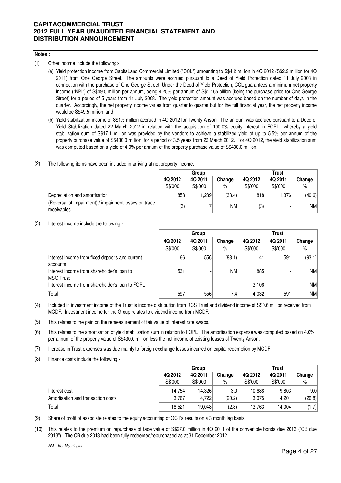#### **Notes :**

(1) Other income include the following:-

- (a) Yield protection income from CapitaLand Commercial Limited ("CCL") amounting to S\$4.2 million in 4Q 2012 (S\$2.2 million for 4Q 2011) from One George Street. The amounts were accrued pursuant to a Deed of Yield Protection dated 11 July 2008 in connection with the purchase of One George Street. Under the Deed of Yield Protection, CCL guarantees a minimum net property income ("NPI") of S\$49.5 million per annum, being 4.25% per annum of S\$1.165 billion (being the purchase price for One George Street) for a period of 5 years from 11 July 2008. The yield protection amount was accrued based on the number of days in the quarter. Accordingly, the net property income varies from quarter to quarter but for the full financial year, the net property income would be S\$49.5 million; and
- (b) Yield stabilization income of S\$1.5 million accrued in 4Q 2012 for Twenty Anson. The amount was accrued pursuant to a Deed of Yield Stabilization dated 22 March 2012 in relation with the acquisition of 100.0% equity interest in FOPL, whereby a yield stabilization sum of S\$17.1 million was provided by the vendors to achieve a stabilized yield of up to 5.5% per annum of the property purchase value of S\$430.0 million, for a period of 3.5 years from 22 March 2012. For 4Q 2012, the yield stabilization sum was computed based on a yield of 4.0% per annum of the property purchase value of S\$430.0 million.
- (2) The following items have been included in arriving at net property income:-

|                                                                      | Group   |         |        | <b>Trust</b> |         |        |
|----------------------------------------------------------------------|---------|---------|--------|--------------|---------|--------|
|                                                                      | 4Q 2012 | 4Q 2011 | Change | 4Q 2012      | 4Q 2011 | Change |
|                                                                      | S\$'000 | S\$'000 | %      | S\$'000      | S\$'000 | %      |
| Depreciation and amortisation                                        | 858     | ,289    | (33.4) | 818          | ا376. ا | (40.6) |
| (Reversal of impairment) / impairment losses on trade<br>receivables | (3)     |         | NM     | (3)          |         | NM     |

(3) Interest income include the following:-

|                                                                | Group   |         |           | Trust   |         |           |
|----------------------------------------------------------------|---------|---------|-----------|---------|---------|-----------|
|                                                                | 4Q 2012 | 4Q 2011 | Change    | 4Q 2012 | 4Q 2011 | Change    |
|                                                                | S\$'000 | S\$'000 | $\%$      | S\$'000 | S\$'000 | %         |
| Interest income from fixed deposits and current<br>accounts    | 66      | 556     | (88.1)    | 41      | 591     | (93.1)    |
| Interest income from shareholder's loan to<br><b>MSO Trust</b> | 531     |         | <b>NM</b> | 885     |         | NM l      |
| Interest income from shareholder's loan to FOPL                |         |         |           | 3.106   |         | NM        |
| Total                                                          | 597     | 556     | 7.41      | 4,032   | 591     | <b>NM</b> |

- (4) Included in investment income of the Trust is income distribution from RCS Trust and dividend income of S\$0.6 million received from MCDF. Investment income for the Group relates to dividend income from MCDF.
- (5) This relates to the gain on the remeasurement of fair value of interest rate swaps.
- (6) This relates to the amortisation of yield stabilization sum in relation to FOPL. The amortisation expense was computed based on 4.0% per annum of the property value of S\$430.0 million less the net income of existing leases of Twenty Anson.
- (7) Increase in Trust expenses was due mainly to foreign exchange losses incurred on capital redemption by MCDF.
- (8) Finance costs include the following:-

|                                    | Group   |         |                  | <b>Trust</b> |         |                  |  |
|------------------------------------|---------|---------|------------------|--------------|---------|------------------|--|
|                                    | 4Q 2012 | 4Q 2011 | Change           | 4Q 2012      | 4Q 2011 | Change           |  |
|                                    | S\$'000 | S\$'000 | %                | S\$'000      | S\$'000 | %                |  |
| Interest cost                      | 14,754  | 14.326  | 3.0 <sub>l</sub> | 10.688       | 9,803   | 9.0 <sub>1</sub> |  |
| Amortisation and transaction costs | 3,767   | 4,722   | (20.2)           | 3,075        | 4,201   | (26.8)           |  |
| Total                              | 18,521  | 19.048  | (2.8)            | 13,763       | 14,004  | (1.7)            |  |

- (9) Share of profit of associate relates to the equity accounting of QCT's results on a 3 month lag basis.
- (10) This relates to the premium on repurchase of face value of S\$27.0 million in 4Q 2011 of the convertible bonds due 2013 ("CB due 2013"). The CB due 2013 had been fully redeemed/repurchased as at 31 December 2012.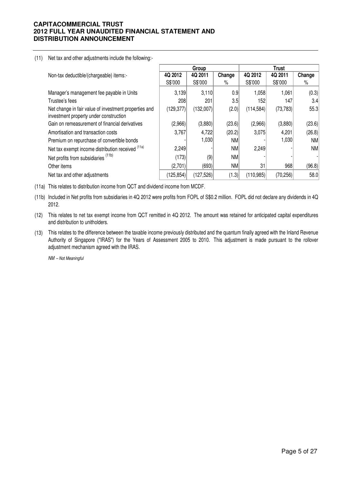#### (11) Net tax and other adjustments include the following:-

|                                                                                                 |                   | Group      |           |            | <b>Trust</b> |           |
|-------------------------------------------------------------------------------------------------|-------------------|------------|-----------|------------|--------------|-----------|
| Non-tax deductible/(chargeable) items:-                                                         | 4Q 2012           | 4Q 2011    | Change    | 4Q 2012    | 4Q 2011      | Change    |
|                                                                                                 | S\$'000           | S\$'000    | $\%$      | S\$'000    | S\$'000      | $\%$      |
| Manager's management fee payable in Units                                                       | 3,139             | 3,110      | 0.9       | 1,058      | 1,061        | (0.3)     |
| Trustee's fees                                                                                  | 208               | 201        | 3.5       | 152        | 147          | 3.4       |
| Net change in fair value of investment properties and<br>investment property under construction | (129, 377)        | (132,007)  | (2.0)     | (114, 584) | (73, 783)    | 55.3      |
| Gain on remeasurement of financial derivatives                                                  | (2,966)           | (3,880)    | (23.6)    | (2,966)    | (3,880)      | (23.6)    |
| Amortisation and transaction costs                                                              | 3,767             | 4,722      | (20.2)    | 3,075      | 4,201        | (26.8)    |
| Premium on repurchase of convertible bonds                                                      |                   | 1,030      | <b>NM</b> |            | 1,030        | <b>NM</b> |
| Net tax exempt income distribution received (11a)                                               | 2,249             |            | <b>NM</b> | 2,249      |              | <b>NM</b> |
| Net profits from subsidiaries <sup>(11b)</sup>                                                  | (173)             | (9)        | <b>NM</b> |            |              |           |
| Other items                                                                                     | (2,701)           | (693)      | <b>NM</b> | 31         | 968          | (96.8)    |
| Net tax and other adjustments                                                                   | $ 125,854\rangle$ | (127, 526) | (1.3)     | (110, 985) | (70, 256)    | 58.0      |

(11a) This relates to distribution income from QCT and dividend income from MCDF.

(11b) Included in Net profits from subsidiaries in 4Q 2012 were profits from FOPL of S\$0.2 million. FOPL did not declare any dividends in 4Q 2012.

(12) This relates to net tax exempt income from QCT remitted in 4Q 2012. The amount was retained for anticipated capital expenditures and distribution to unitholders.

(13) This relates to the difference between the taxable income previously distributed and the quantum finally agreed with the Inland Revenue Authority of Singapore ("IRAS") for the Years of Assessment 2005 to 2010. This adjustment is made pursuant to the rollover adjustment mechanism agreed with the IRAS.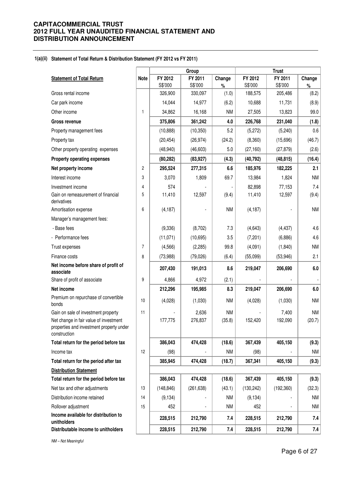#### **1(a)(ii) Statement of Total Return & Distribution Statement (FY 2012 vs FY 2011)**

|                                                                                                    |             |            | Group      |           |            | <b>Trust</b> |           |
|----------------------------------------------------------------------------------------------------|-------------|------------|------------|-----------|------------|--------------|-----------|
| <b>Statement of Total Return</b>                                                                   | <b>Note</b> | FY 2012    | FY 2011    | Change    | FY 2012    | FY 2011      | Change    |
|                                                                                                    |             | S\$'000    | S\$'000    | $\%$      | S\$'000    | S\$'000      | $\%$      |
| Gross rental income                                                                                |             | 326,900    | 330,097    | (1.0)     | 188,575    | 205,486      | (8.2)     |
| Car park income                                                                                    |             | 14,044     | 14,977     | (6.2)     | 10,688     | 11,731       | (8.9)     |
| Other income                                                                                       | 1           | 34,862     | 16,168     | <b>NM</b> | 27,505     | 13,823       | 99.0      |
| <b>Gross revenue</b>                                                                               |             | 375,806    | 361,242    | 4.0       | 226,768    | 231,040      | (1.8)     |
| Property management fees                                                                           |             | (10, 888)  | (10, 350)  | 5.2       | (5,272)    | (5,240)      | 0.6       |
| Property tax                                                                                       |             | (20, 454)  | (26, 974)  | (24.2)    | (8,360)    | (15,696)     | (46.7)    |
| Other property operating expenses                                                                  |             | (48, 940)  | (46, 603)  | 5.0       | (27, 160)  | (27, 879)    | (2.6)     |
| Property operating expenses                                                                        |             | (80, 282)  | (83, 927)  | (4.3)     | (40, 792)  | (48, 815)    | (16.4)    |
| Net property income                                                                                | 2           | 295,524    | 277,315    | 6.6       | 185,976    | 182,225      | 2.1       |
| Interest income                                                                                    | 3           | 3,070      | 1,809      | 69.7      | 13,984     | 1,824        | <b>NM</b> |
| Investment income                                                                                  | 4           | 574        |            |           | 82,898     | 77,153       | 7.4       |
| Gain on remeasurement of financial<br>derivatives                                                  | 5           | 11,410     | 12,597     | (9.4)     | 11,410     | 12,597       | (9.4)     |
| Amortisation expense                                                                               | 6           | (4, 187)   |            | <b>NM</b> | (4, 187)   |              | <b>NM</b> |
| Manager's management fees:                                                                         |             |            |            |           |            |              |           |
| - Base fees                                                                                        |             | (9,336)    | (8,702)    | 7.3       | (4,643)    | (4, 437)     | 4.6       |
| - Performance fees                                                                                 |             | (11, 071)  | (10, 695)  | 3.5       | (7,201)    | (6,886)      | 4.6       |
| Trust expenses                                                                                     | 7           | (4, 566)   | (2, 285)   | 99.8      | (4,091)    | (1,840)      | <b>NM</b> |
| Finance costs                                                                                      | 8           | (73,988)   | (79, 026)  | (6.4)     | (55,099)   | (53, 946)    | 2.1       |
| Net income before share of profit of<br>associate                                                  |             | 207,430    | 191,013    | 8.6       | 219,047    | 206,690      | 6.0       |
| Share of profit of associate                                                                       | 9           | 4,866      | 4,972      | (2.1)     |            |              |           |
| Net income                                                                                         |             | 212,296    | 195,985    | 8.3       | 219,047    | 206,690      | 6.0       |
| Premium on repurchase of convertible<br>bonds                                                      | 10          | (4,028)    | (1,030)    | <b>NM</b> | (4,028)    | (1,030)      | <b>NM</b> |
| Gain on sale of investment property                                                                | 11          |            | 2,636      | <b>NM</b> |            | 7,400        | <b>NM</b> |
| Net change in fair value of investment<br>properties and investment property under<br>construction |             | 177,775    | 276,837    | (35.8)    | 152,420    | 192,090      | (20.7)    |
| Total return for the period before tax                                                             |             | 386,043    | 474,428    | (18.6)    | 367,439    | 405,150      | (9.3)     |
| Income tax                                                                                         | 12          | (98)       |            | <b>NM</b> | (98)       |              | <b>NM</b> |
| Total return for the period after tax                                                              |             | 385,945    | 474,428    | (18.7)    | 367,341    | 405,150      | (9.3)     |
| <b>Distribution Statement</b>                                                                      |             |            |            |           |            |              |           |
| Total return for the period before tax                                                             |             | 386,043    | 474,428    | (18.6)    | 367,439    | 405,150      | (9.3)     |
| Net tax and other adjustments                                                                      | 13          | (148, 846) | (261, 638) | (43.1)    | (130, 242) | (192, 360)   | (32.3)    |
| Distribution income retained                                                                       | 14          | (9, 134)   |            | NM        | (9, 134)   |              | <b>NM</b> |
| Rollover adjustment                                                                                | 15          | 452        |            | <b>NM</b> | 452        |              | <b>NM</b> |
| Income available for distribution to<br>unitholders                                                |             | 228,515    | 212,790    | 7.4       | 228,515    | 212,790      | 7.4       |
| Distributable income to unitholders                                                                |             | 228,515    | 212,790    | 7.4       | 228,515    | 212,790      | 7.4       |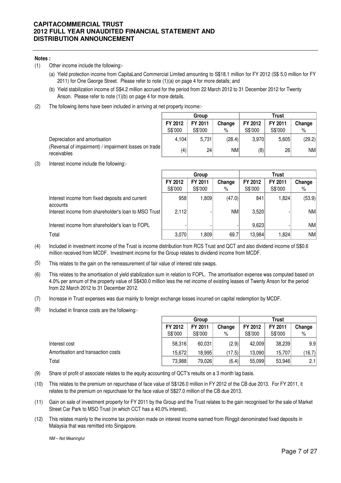#### **Notes :**

- (1) Other income include the following:-
	- (a) Yield protection income from CapitaLand Commercial Limited amounting to S\$18.1 million for FY 2012 (S\$ 5.0 million for FY 2011) for One George Street. Please refer to note (1)(a) on page 4 for more details; and
	- (b) Yield stabilization income of S\$4.2 million accrued for the period from 22 March 2012 to 31 December 2012 for Twenty Anson. Please refer to note (1)(b) on page 4 for more details.
- (2) The following items have been included in arriving at net property income:-

|                                                                        | Group   |                 |        | Trust   |         |           |  |
|------------------------------------------------------------------------|---------|-----------------|--------|---------|---------|-----------|--|
|                                                                        | FY 2012 | FY 2011         | Change | FY 2012 | FY 2011 | Change    |  |
|                                                                        | S\$'000 | S\$'000         | %      | S\$'000 | S\$'000 | %         |  |
| Depreciation and amortisation                                          | 4.104   | 5.731           | (28.4) | 3.970   | 5.605   | (29.2)    |  |
| (Reversal of impairment) / impairment losses on trade  <br>receivables | (4)     | 24 <sub>1</sub> | NM     | (8)     | 26      | <b>NM</b> |  |

(3) Interest income include the following:-

|                                                             |         | Group   |           |         | Trust   |           |
|-------------------------------------------------------------|---------|---------|-----------|---------|---------|-----------|
|                                                             | FY 2012 | FY 2011 | Change    | FY 2012 | FY 2011 | Change    |
|                                                             | S\$'000 | S\$'000 | %         | S\$'000 | S\$'000 | %         |
| Interest income from fixed deposits and current<br>accounts | 958     | 1,809   | (47.0)    | 841     | 1.824   | (53.9)    |
| Interest income from shareholder's loan to MSO Trust        | 2,112   |         | <b>NM</b> | 3,520   |         | <b>NM</b> |
| Interest income from shareholder's loan to FOPL             |         |         |           | 9,623   |         | NM        |
| Total                                                       | 3,070   | 1,809   | 69.7      | 13,984  | 1.824   | NM        |

- (4) Included in investment income of the Trust is income distribution from RCS Trust and QCT and also dividend income of S\$0.6 million received from MCDF. Investment income for the Group relates to dividend income from MCDF.
- (5) This relates to the gain on the remeasurement of fair value of interest rate swaps.
- (6) This relates to the amortisation of yield stabilization sum in relation to FOPL. The amortisation expense was computed based on 4.0% per annum of the property value of S\$430.0 million less the net income of existing leases of Twenty Anson for the period from 22 March 2012 to 31 December 2012.
- (7) Increase in Trust expenses was due mainly to foreign exchange losses incurred on capital redemption by MCDF.
- (8) Included in finance costs are the following:-

|                                    | Group   |         |        | <b>Trust</b> |         |        |  |
|------------------------------------|---------|---------|--------|--------------|---------|--------|--|
|                                    | FY 2012 | FY 2011 | Change | FY 2012      | FY 2011 | Change |  |
|                                    | S\$'000 | S\$'000 | %      | S\$'000      | S\$'000 | %      |  |
| Interest cost                      | 58,316  | 60,031  | (2.9)  | 42.009       | 38.239  | 9.9    |  |
| Amortisation and transaction costs | 15.672  | 18.995  | (17.5) | 13.090       | 15.707  | (16.7) |  |
| Total                              | 73,988  | 79,026  | (6.4)  | 55,099       | 53.946  | 2.1    |  |

- (9) Share of profit of associate relates to the equity accounting of QCT's results on a 3 month lag basis.
- (10) This relates to the premium on repurchase of face value of S\$126.0 million in FY 2012 of the CB due 2013. For FY 2011, it relates to the premium on repurchase for the face value of S\$27.0 million of the CB due 2013.
- (11) Gain on sale of investment property for FY 2011 by the Group and the Trust relates to the gain recognised for the sale of Market Street Car Park to MSO Trust (in which CCT has a 40.0% interest).
- (12) This relates mainly to the income tax provision made on interest income earned from Ringgit denominated fixed deposits in Malaysia that was remitted into Singapore.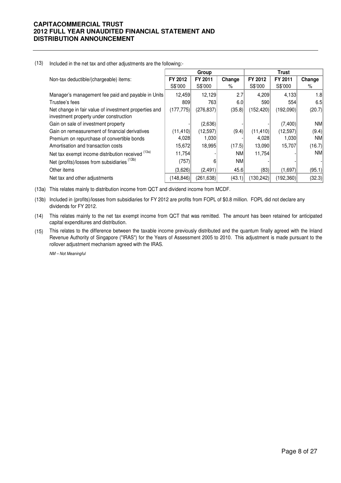#### (13) Included in the net tax and other adjustments are the following:-

|                                                       | Group      |            |           |            | <b>Trust</b> |           |
|-------------------------------------------------------|------------|------------|-----------|------------|--------------|-----------|
| Non-tax deductible/(chargeable) items:                | FY 2012    | FY 2011    | Change    | FY 2012    | FY 2011      | Change    |
|                                                       | S\$'000    | S\$'000    | %         | S\$'000    | S\$'000      | ℅         |
| Manager's management fee paid and payable in Units    | 12.459     | 12,129     | 2.7       | 4,209      | 4,133        | 1.8       |
| Trustee's fees                                        | 809        | 763        | 6.0       | 590        | 554          | 6.5       |
| Net change in fair value of investment properties and | (177, 775) | (276, 837) | (35.8)    | (152, 420) | (192,090)    | (20.7)    |
| investment property under construction                |            |            |           |            |              |           |
| Gain on sale of investment property                   |            | (2,636)    |           |            | (7,400)      | ΝM        |
| Gain on remeasurement of financial derivatives        | (11,410)   | (12, 597)  | (9.4)     | (11, 410)  | (12, 597)    | (9.4)     |
| Premium on repurchase of convertible bonds            | 4,028      | 1,030      |           | 4,028      | 1,030        | <b>NM</b> |
| Amortisation and transaction costs                    | 15,672     | 18,995     | (17.5)    | 13,090     | 15,707       | (16.7)    |
| Net tax exempt income distribution received (13a)     | 11,754     |            | NM.       | 11,754     |              | <b>NM</b> |
| Net (profits)/losses from subsidiaries (13b)          | (757)      | 6          | <b>NM</b> |            |              |           |
| Other items                                           | (3,626)    | (2,491)    | 45.6      | (83)       | (1,697)      | (95.1)    |
| Net tax and other adjustments                         | (148, 846) | (261, 638) | (43.1)    | (130, 242) | (192, 360)   | (32.3)    |

(13a) This relates mainly to distribution income from QCT and dividend income from MCDF.

(13b) Included in (profits)/losses from subsidiaries for FY 2012 are profits from FOPL of \$0.8 million. FOPL did not declare any dividends for FY 2012.

(14) This relates mainly to the net tax exempt income from QCT that was remitted. The amount has been retained for anticipated capital expenditures and distribution.

(15) This relates to the difference between the taxable income previously distributed and the quantum finally agreed with the Inland Revenue Authority of Singapore ("IRAS") for the Years of Assessment 2005 to 2010. This adjustment is made pursuant to the rollover adjustment mechanism agreed with the IRAS.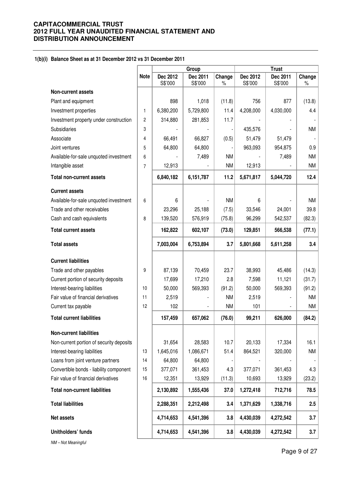**1(b)(i) Balance Sheet as at 31 December 2012 vs 31 December 2011**

|                                          |                | Group               |                     |                | <b>Trust</b>        |                     |                |
|------------------------------------------|----------------|---------------------|---------------------|----------------|---------------------|---------------------|----------------|
|                                          | <b>Note</b>    | Dec 2012<br>S\$'000 | Dec 2011<br>S\$'000 | Change<br>$\%$ | Dec 2012<br>S\$'000 | Dec 2011<br>S\$'000 | Change<br>$\%$ |
| <b>Non-current assets</b>                |                |                     |                     |                |                     |                     |                |
| Plant and equipment                      |                | 898                 | 1,018               | (11.8)         | 756                 | 877                 | (13.8)         |
| Investment properties                    | 1              | 6,380,200           | 5,729,800           | 11.4           | 4,208,000           | 4,030,000           | 4.4            |
| Investment property under construction   | $\overline{c}$ | 314,880             | 281,853             | 11.7           |                     |                     |                |
| <b>Subsidiaries</b>                      | 3              |                     |                     |                | 435,576             |                     | NM             |
| Associate                                | 4              | 66,491              | 66,827              | (0.5)          | 51,479              | 51,479              |                |
| Joint ventures                           | 5              | 64,800              | 64,800              |                | 963,093             | 954,875             | 0.9            |
| Available-for-sale unquoted investment   | 6              |                     | 7,489               | <b>NM</b>      |                     | 7,489               | NM             |
| Intangible asset                         | $\overline{7}$ | 12,913              |                     | <b>NM</b>      | 12,913              |                     | NM             |
| <b>Total non-current assets</b>          |                | 6,840,182           | 6,151,787           | 11.2           | 5,671,817           | 5,044,720           | 12.4           |
| <b>Current assets</b>                    |                |                     |                     |                |                     |                     |                |
| Available-for-sale unquoted investment   | 6              | 6                   |                     | <b>NM</b>      | 6                   |                     | <b>NM</b>      |
| Trade and other receivables              |                | 23,296              | 25,188              | (7.5)          | 33,546              | 24,001              | 39.8           |
| Cash and cash equivalents                | 8              | 139,520             | 576,919             | (75.8)         | 96,299              | 542,537             | (82.3)         |
| <b>Total current assets</b>              |                | 162,822             | 602,107             | (73.0)         | 129,851             | 566,538             | (77.1)         |
| <b>Total assets</b>                      |                | 7,003,004           | 6,753,894           | 3.7            | 5,801,668           | 5,611,258           | 3.4            |
| <b>Current liabilities</b>               |                |                     |                     |                |                     |                     |                |
| Trade and other payables                 | 9              | 87,139              | 70,459              | 23.7           | 38,993              | 45,486              | (14.3)         |
| Current portion of security deposits     |                | 17,699              | 17,210              | 2.8            | 7,598               | 11,121              | (31.7)         |
| Interest-bearing liabilities             | 10             | 50,000              | 569,393             | (91.2)         | 50,000              | 569,393             | (91.2)         |
| Fair value of financial derivatives      | 11             | 2,519               |                     | <b>NM</b>      | 2,519               |                     | ΝM             |
| Current tax payable                      | 12             | 102                 |                     | <b>NM</b>      | 101                 |                     | NM             |
| <b>Total current liabilities</b>         |                | 157,459             | 657,062             | (76.0)         | 99,211              | 626,000             | (84.2)         |
| <b>Non-current liabilities</b>           |                |                     |                     |                |                     |                     |                |
| Non-current portion of security deposits |                | 31,654              | 28,583              | 10.7           | 20,133              | 17,334              | 16.1           |
| Interest-bearing liabilities             | 13             | 1,645,016           | 1,086,671           | 51.4           | 864,521             | 320,000             | NM             |
| Loans from joint venture partners        | 14             | 64,800              | 64,800              |                |                     |                     |                |
| Convertible bonds - liability component  | 15             | 377,071             | 361,453             | 4.3            | 377,071             | 361,453             | 4.3            |
| Fair value of financial derivatives      | 16             | 12,351              | 13,929              | (11.3)         | 10,693              | 13,929              | (23.2)         |
| <b>Total non-current liabilities</b>     |                | 2,130,892           | 1,555,436           | 37.0           | 1,272,418           | 712,716             | 78.5           |
| <b>Total liabilities</b>                 |                | 2,288,351           | 2,212,498           | 3.4            | 1,371,629           | 1,338,716           | 2.5            |
| Net assets                               |                | 4,714,653           | 4,541,396           | 3.8            | 4,430,039           | 4,272,542           | 3.7            |
| Unitholders' funds                       |                | 4,714,653           | 4,541,396           | 3.8            | 4,430,039           | 4,272,542           | 3.7            |
| NM-Not Meaningful                        |                |                     |                     |                |                     |                     |                |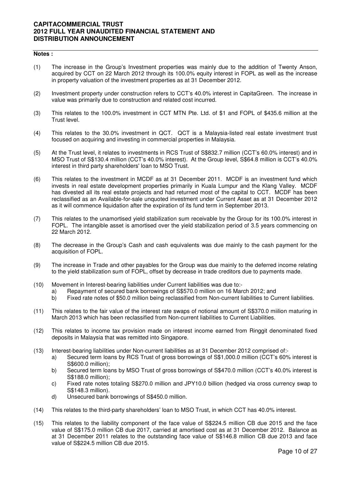#### **Notes :**

- (1) The increase in the Group's Investment properties was mainly due to the addition of Twenty Anson, acquired by CCT on 22 March 2012 through its 100.0% equity interest in FOPL as well as the increase in property valuation of the investment properties as at 31 December 2012.
- (2) Investment property under construction refers to CCT's 40.0% interest in CapitaGreen. The increase in value was primarily due to construction and related cost incurred.
- (3) This relates to the 100.0% investment in CCT MTN Pte. Ltd. of \$1 and FOPL of \$435.6 million at the Trust level.
- (4) This relates to the 30.0% investment in QCT. QCT is a Malaysia-listed real estate investment trust focused on acquiring and investing in commercial properties in Malaysia.
- (5) At the Trust level, it relates to investments in RCS Trust of S\$832.7 million (CCT's 60.0% interest) and in MSO Trust of S\$130.4 million (CCT's 40.0% interest). At the Group level, S\$64.8 million is CCT's 40.0% interest in third party shareholders' loan to MSO Trust.
- (6) This relates to the investment in MCDF as at 31 December 2011. MCDF is an investment fund which invests in real estate development properties primarily in Kuala Lumpur and the Klang Valley. MCDF has divested all its real estate projects and had returned most of the capital to CCT. MCDF has been reclassified as an Available-for-sale unquoted investment under Current Asset as at 31 December 2012 as it will commence liquidation after the expiration of its fund term in September 2013.
- (7) This relates to the unamortised yield stabilization sum receivable by the Group for its 100.0% interest in FOPL. The intangible asset is amortised over the yield stabilization period of 3.5 years commencing on 22 March 2012.
- (8) The decrease in the Group's Cash and cash equivalents was due mainly to the cash payment for the acquisition of FOPL.
- (9) The increase in Trade and other payables for the Group was due mainly to the deferred income relating to the yield stabilization sum of FOPL, offset by decrease in trade creditors due to payments made.
- (10) Movement in Interest-bearing liabilities under Current liabilities was due to:
	- a) Repayment of secured bank borrowings of S\$570.0 million on 16 March 2012; and
	- b) Fixed rate notes of \$50.0 million being reclassified from Non-current liabilities to Current liabilities.
- (11) This relates to the fair value of the interest rate swaps of notional amount of S\$370.0 miilion maturing in March 2013 which has been reclassified from Non-current liabilities to Current Liabilities.
- (12) This relates to income tax provision made on interest income earned from Ringgit denominated fixed deposits in Malaysia that was remitted into Singapore.
- (13) Interest-bearing liabilities under Non-current liabilities as at 31 December 2012 comprised of:
	- a) Secured term loans by RCS Trust of gross borrowings of S\$1,000.0 million (CCT's 60% interest is S\$600.0 million);
	- b) Secured term loans by MSO Trust of gross borrowings of S\$470.0 million (CCT's 40.0% interest is S\$188.0 million);
	- c) Fixed rate notes totaling S\$270.0 million and JPY10.0 billion (hedged via cross currency swap to S\$148.3 million).
	- d) Unsecured bank borrowings of S\$450.0 million.
- (14) This relates to the third-party shareholders' loan to MSO Trust, in which CCT has 40.0% interest.
- (15) This relates to the liability component of the face value of S\$224.5 million CB due 2015 and the face value of S\$175.0 million CB due 2017, carried at amortised cost as at 31 December 2012. Balance as at 31 December 2011 relates to the outstanding face value of S\$146.8 million CB due 2013 and face value of S\$224.5 million CB due 2015.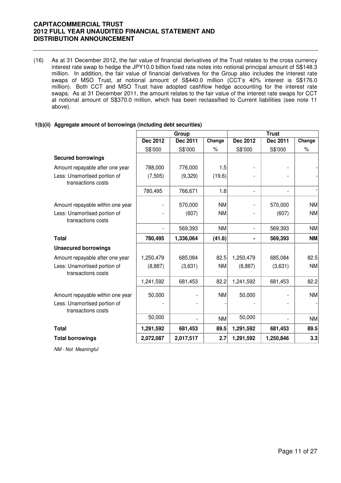(16) As at 31 December 2012, the fair value of financial derivatives of the Trust relates to the cross currency interest rate swap to hedge the JPY10.0 billion fixed rate notes into notional principal amount of S\$148.3 million. In addition, the fair value of financial derivatives for the Group also includes the interest rate swaps of MSO Trust, at notional amount of S\$440.0 million (CCT's 40% interest is S\$176.0 million). Both CCT and MSO Trust have adopted cashflow hedge accounting for the interest rate swaps. As at 31 December 2011, the amount relates to the fair value of the interest rate swaps for CCT at notional amount of S\$370.0 million, which has been reclassified to Current liabilities (see note 11 above).

#### **1(b)(ii) Aggregate amount of borrowings (including debt securities)**

|                                                    | Group     |                          |           | <b>Trust</b>             |                          |           |  |
|----------------------------------------------------|-----------|--------------------------|-----------|--------------------------|--------------------------|-----------|--|
|                                                    | Dec 2012  | Dec 2011                 | Change    | Dec 2012                 | Dec 2011                 | Change    |  |
|                                                    | S\$'000   | S\$'000                  | $\%$      | S\$'000                  | S\$'000                  | $\%$      |  |
| <b>Secured borrowings</b>                          |           |                          |           |                          |                          |           |  |
| Amount repayable after one year                    | 788,000   | 776,000                  | 1.5       |                          |                          |           |  |
| Less: Unamortised portion of<br>transactions costs | (7, 505)  | (9,329)                  | (19.6)    |                          |                          |           |  |
|                                                    | 780,495   | 766,671                  | 1.8       | $\overline{\phantom{a}}$ | $\overline{\phantom{0}}$ |           |  |
| Amount repayable within one year                   |           | 570,000                  | <b>NM</b> |                          | 570,000                  | <b>NM</b> |  |
| Less: Unamortised portion of<br>transactions costs |           | (607)                    | <b>NM</b> |                          | (607)                    | <b>NM</b> |  |
|                                                    |           | 569,393                  | <b>NM</b> | $\overline{\phantom{a}}$ | 569,393                  | <b>NM</b> |  |
| <b>Total</b>                                       | 780,495   | 1,336,064                | (41.6)    |                          | 569,393                  | <b>NM</b> |  |
| <b>Unsecured borrowings</b>                        |           |                          |           |                          |                          |           |  |
| Amount repayable after one year                    | 1,250,479 | 685,084                  | 82.5      | 1,250,479                | 685,084                  | 82.5      |  |
| Less: Unamortised portion of<br>transactions costs | (8,887)   | (3,631)                  | <b>NM</b> | (8,887)                  | (3,631)                  | <b>NM</b> |  |
|                                                    | 1,241,592 | 681,453                  | 82.2      | 1,241,592                | 681,453                  | 82.2      |  |
| Amount repayable within one year                   | 50,000    |                          | <b>NM</b> | 50,000                   |                          | <b>NM</b> |  |
| Less: Unamortised portion of<br>transactions costs |           |                          |           |                          |                          |           |  |
|                                                    | 50,000    | $\overline{\phantom{0}}$ | <b>NM</b> | 50,000                   |                          | <b>NM</b> |  |
| <b>Total</b>                                       | 1,291,592 | 681,453                  | 89.5      | 1,291,592                | 681,453                  | 89.5      |  |
| <b>Total borrowings</b>                            | 2,072,087 | 2,017,517                | 2.7       | 1,291,592                | 1,250,846                | 3.3       |  |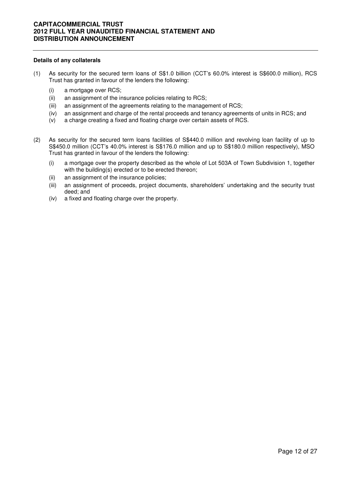#### **Details of any collaterals**

- (1) As security for the secured term loans of S\$1.0 billion (CCT's 60.0% interest is S\$600.0 million), RCS Trust has granted in favour of the lenders the following:
	- (i) a mortgage over RCS;
	- (ii) an assignment of the insurance policies relating to RCS;
	- (iii) an assignment of the agreements relating to the management of RCS;
	- (iv) an assignment and charge of the rental proceeds and tenancy agreements of units in RCS; and
	- (v) a charge creating a fixed and floating charge over certain assets of RCS.
- (2) As security for the secured term loans facilities of S\$440.0 million and revolving loan facility of up to S\$450.0 million (CCT's 40.0% interest is S\$176.0 million and up to S\$180.0 million respectively), MSO Trust has granted in favour of the lenders the following:
	- (i) a mortgage over the property described as the whole of Lot 503A of Town Subdivision 1, together with the building(s) erected or to be erected thereon;
	- (ii) an assignment of the insurance policies;
	- (iii) an assignment of proceeds, project documents, shareholders' undertaking and the security trust deed; and
	- (iv) a fixed and floating charge over the property.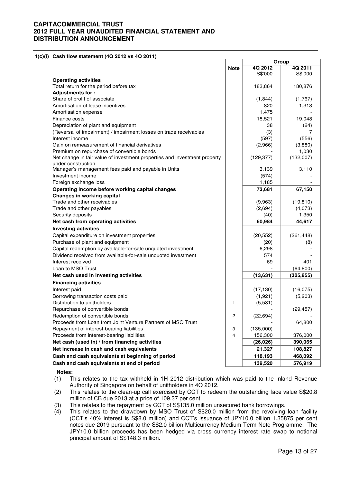**1(c)(i) Cash flow statement (4Q 2012 vs 4Q 2011)** 

|                                                                           |                | Group      |            |  |
|---------------------------------------------------------------------------|----------------|------------|------------|--|
|                                                                           | <b>Note</b>    | 4Q 2012    | 4Q 2011    |  |
|                                                                           |                | S\$'000    | S\$'000    |  |
| <b>Operating activities</b>                                               |                |            |            |  |
| Total return for the period before tax                                    |                | 183,864    | 180,876    |  |
| <b>Adjustments for:</b>                                                   |                |            |            |  |
| Share of profit of associate                                              |                | (1,844)    | (1,767)    |  |
| Amortisation of lease incentives                                          |                | 820        | 1,313      |  |
| Amortisation expense                                                      |                | 1,475      |            |  |
| Finance costs                                                             |                | 18,521     | 19,048     |  |
| Depreciation of plant and equipment                                       |                | 38         | (24)       |  |
| (Reversal of impairment) / impairment losses on trade receivables         |                | (3)        | 7          |  |
| Interest income                                                           |                | (597)      | (556)      |  |
| Gain on remeasurement of financial derivatives                            |                | (2,966)    | (3,880)    |  |
| Premium on repurchase of convertible bonds                                |                |            | 1,030      |  |
| Net change in fair value of investment properties and investment property |                | (129, 377) | (132,007)  |  |
| under construction                                                        |                |            |            |  |
| Manager's management fees paid and payable in Units                       |                | 3,139      | 3,110      |  |
| Investment income                                                         |                | (574)      |            |  |
| Foreign exchange loss                                                     |                | 1,185      |            |  |
| Operating income before working capital changes                           |                | 73,681     | 67,150     |  |
| Changes in working capital                                                |                |            |            |  |
| Trade and other receivables                                               |                | (9,963)    | (19, 810)  |  |
| Trade and other payables                                                  |                | (2,694)    | (4,073)    |  |
| Security deposits                                                         |                | (40)       | 1,350      |  |
| Net cash from operating activities                                        |                | 60,984     | 44,617     |  |
| <b>Investing activities</b>                                               |                |            |            |  |
| Capital expenditure on investment properties                              |                | (20, 552)  | (261, 448) |  |
| Purchase of plant and equipment                                           |                | (20)       | (8)        |  |
| Capital redemption by available-for-sale unquoted investment              |                | 6,298      |            |  |
| Dividend received from available-for-sale unquoted investment             |                | 574        |            |  |
| Interest received                                                         |                | 69         | 401        |  |
| Loan to MSO Trust                                                         |                |            | (64, 800)  |  |
| Net cash used in investing activities                                     |                | (13, 631)  | (325, 855) |  |
| <b>Financing activities</b>                                               |                |            |            |  |
| Interest paid                                                             |                | (17, 130)  | (16,075)   |  |
| Borrowing transaction costs paid                                          |                | (1,921)    | (5,203)    |  |
| Distribution to unitholders                                               | $\mathbf{1}$   | (5,581)    |            |  |
| Repurchase of convertible bonds                                           |                |            | (29, 457)  |  |
| Redemption of convertible bonds                                           | 2              | (22, 694)  |            |  |
| Proceeds from Loan from Joint Venture Partners of MSO Trust               |                |            | 64,800     |  |
| Repayment of interest-bearing liabilities                                 | 3              | (135,000)  |            |  |
| Proceeds from interest-bearing liabilities                                | $\overline{4}$ | 156,300    | 376,000    |  |
| Net cash (used in) / from financing activities                            |                | (26, 026)  | 390,065    |  |
| Net increase in cash and cash equivalents                                 |                | 21,327     | 108,827    |  |
| Cash and cash equivalents at beginning of period                          |                | 118,193    | 468,092    |  |
| Cash and cash equivalents at end of period                                |                | 139,520    | 576,919    |  |
|                                                                           |                |            |            |  |

#### **Notes:**

- (1) This relates to the tax withheld in 1H 2012 distribution which was paid to the Inland Revenue Authority of Singapore on behalf of unitholders in 4Q 2012.
- (2) This relates to the clean-up call exercised by CCT to redeem the outstanding face value S\$20.8 million of CB due 2013 at a price of 109.37 per cent.
- (3) This relates to the repayment by CCT of S\$135.0 million unsecured bank borrowings.
- $(4)$  This relates to the drawdown by MSO Trust of S\$20.0 million from the revolving loan facility (CCT's 40% interest is S\$8.0 million) and CCT's issuance of JPY10.0 billion 1.35875 per cent notes due 2019 pursuant to the S\$2.0 billion Multicurrency Medium Term Note Programme. The JPY10.0 billion proceeds has been hedged via cross currency interest rate swap to notional principal amount of S\$148.3 million.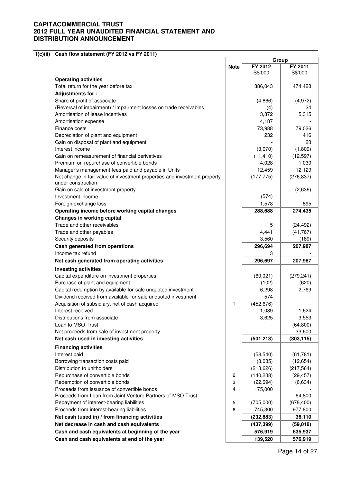**1(c)(ii) Cash flow statement (FY 2012 vs FY 2011)** 

|                                                                           |                | Group      |            |
|---------------------------------------------------------------------------|----------------|------------|------------|
|                                                                           | <b>Note</b>    | FY 2012    | FY 2011    |
|                                                                           |                | S\$'000    | S\$'000    |
| <b>Operating activities</b>                                               |                |            |            |
| Total return for the year before tax                                      |                | 386,043    | 474,428    |
| Adjustments for:                                                          |                |            |            |
| Share of profit of associate                                              |                | (4,866)    | (4, 972)   |
| (Reversal of impairment) / impairment losses on trade receivables         |                | (4)        | 24         |
| Amortisation of lease incentives                                          |                | 3,872      | 5,315      |
| Amortisation expense                                                      |                | 4,187      |            |
| Finance costs                                                             |                | 73,988     | 79,026     |
| Depreciation of plant and equipment                                       |                | 232        | 416        |
| Gain on disposal of plant and equipment                                   |                |            | 23         |
| Interest income                                                           |                | (3,070)    | (1,809)    |
| Gain on remeasurement of financial derivatives                            |                | (11, 410)  | (12, 597)  |
| Premium on repurchase of convertible bonds                                |                | 4,028      | 1,030      |
| Manager's management fees paid and payable in Units                       |                | 12,459     | 12,129     |
| Net change in fair value of investment properties and investment property |                | (177, 775) | (276, 837) |
| under construction                                                        |                |            |            |
| Gain on sale of investment property                                       |                |            | (2,636)    |
| Investment income                                                         |                | (574)      |            |
| Foreign exchange loss                                                     |                | 1,578      | 895        |
| Operating income before working capital changes                           |                | 288,688    | 274,435    |
| <b>Changes in working capital</b>                                         |                |            |            |
| Trade and other receivables                                               |                | 5          | (24, 492)  |
| Trade and other payables                                                  |                | 4,441      | (41, 767)  |
| Security deposits                                                         |                | 3,560      | (189)      |
| Cash generated from operations                                            |                | 296,694    | 207,987    |
| Income tax refund                                                         |                |            |            |
| Net cash generated from operating activities                              |                | 296,697    | 207,987    |
| <b>Investing activities</b>                                               |                |            |            |
| Capital expenditure on investment properties                              |                | (60, 021)  | (279, 241) |
| Purchase of plant and equipment                                           |                | (102)      | (620)      |
| Capital redemption by available-for-sale unquoted investment              |                | 6,298      | 2,769      |
| Dividend received from available-for-sale unquoted investment             |                | 574        |            |
| Acquisition of subsidiary, net of cash acquired                           | 1              | (452, 676) |            |
| Interest received                                                         |                | 1,089      | 1,624      |
| Distributions from associate                                              |                | 3,625      | 3,553      |
| Loan to MSO Trust                                                         |                |            | (64, 800)  |
| Net proceeds from sale of investment property                             |                |            | 33,600     |
| Net cash used in investing activities                                     |                | (501, 213) | (303, 115) |
| <b>Financing activities</b>                                               |                |            |            |
| Interest paid                                                             |                | (58, 540)  | (61, 781)  |
| Borrowing transaction costs paid                                          |                | (8,085)    | (12, 654)  |
| Distribution to unitholders                                               |                | (218, 626) | (217, 564) |
| Repurchase of convertible bonds                                           | $\overline{c}$ | (140, 238) | (29, 457)  |
| Redemption of convertible bonds                                           | 3              | (22, 694)  | (6, 634)   |
| Proceeds from issuance of convertible bonds                               | 4              | 175,000    |            |
| Proceeds from Loan from Joint Venture Partners of MSO Trust               |                |            | 64,800     |
| Repayment of interest-bearing liabilities                                 | 5              | (705,000)  | (678, 400) |
| Proceeds from interest-bearing liabilities                                | 6              | 745,300    | 977,800    |
| Net cash (used in) / from financing activities                            |                | (232, 883) | 36,110     |
| Net decrease in cash and cash equivalents                                 |                | (437, 399) | (59, 018)  |
| Cash and cash equivalents at beginning of the year                        |                | 576,919    | 635,937    |
| Cash and cash equivalents at end of the year                              |                | 139,520    | 576,919    |
|                                                                           |                |            |            |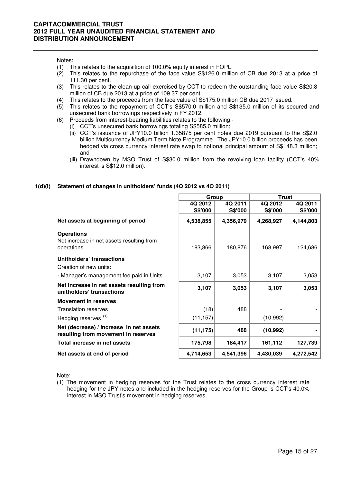Notes:

- (1) This relates to the acquisition of 100.0% equity interest in FOPL.
- (2) This relates to the repurchase of the face value S\$126.0 million of CB due 2013 at a price of 111.30 per cent.
- (3) This relates to the clean-up call exercised by CCT to redeem the outstanding face value S\$20.8 million of CB due 2013 at a price of 109.37 per cent.
- (4) This relates to the proceeds from the face value of S\$175.0 million CB due 2017 issued.
- (5) This relates to the repayment of CCT's S\$570.0 million and S\$135.0 million of its secured and unsecured bank borrowings respectively in FY 2012.
- (6) Proceeds from interest-bearing liabilities relates to the following:-
	- (i) CCT's unsecured bank borrowings totaling S\$585.0 million;
		- (ii) CCT's issuance of JPY10.0 billion 1.35875 per cent notes due 2019 pursuant to the S\$2.0 billion Multicurrency Medium Term Note Programme. The JPY10.0 billion proceeds has been hedged via cross currency interest rate swap to notional principal amount of S\$148.3 million; and
		- (iii) Drawndown by MSO Trust of S\$30.0 million from the revolving loan facility (CCT's 40% interest is S\$12.0 million).

#### **1(d)(i) Statement of changes in unitholders' funds (4Q 2012 vs 4Q 2011)**

|                                                                                | Group                     |                           | <b>Trust</b>              |                           |  |
|--------------------------------------------------------------------------------|---------------------------|---------------------------|---------------------------|---------------------------|--|
|                                                                                | 4Q 2012<br><b>S\$'000</b> | 4Q 2011<br><b>S\$'000</b> | 4Q 2012<br><b>S\$'000</b> | 4Q 2011<br><b>S\$'000</b> |  |
| Net assets at beginning of period                                              | 4,538,855                 | 4,356,979                 | 4,268,927                 | 4,144,803                 |  |
| <b>Operations</b><br>Net increase in net assets resulting from<br>operations   | 183,866                   | 180,876                   | 168,997                   | 124,686                   |  |
| Unitholders' transactions<br>Creation of new units:                            |                           |                           |                           |                           |  |
| - Manager's management fee paid in Units                                       | 3,107                     | 3,053                     | 3,107                     | 3,053                     |  |
| Net increase in net assets resulting from<br>unitholders' transactions         | 3,107                     | 3,053                     | 3,107                     | 3,053                     |  |
| <b>Movement in reserves</b>                                                    |                           |                           |                           |                           |  |
| <b>Translation reserves</b>                                                    | (18)                      | 488                       |                           |                           |  |
| Hedging reserves <sup>(1)</sup>                                                | (11, 157)                 |                           | (10, 992)                 |                           |  |
| Net (decrease) / increase in net assets<br>resulting from movement in reserves | (11, 175)                 | 488                       | (10, 992)                 |                           |  |
| Total increase in net assets                                                   | 175,798                   | 184,417                   | 161,112                   | 127,739                   |  |
| Net assets at end of period                                                    | 4,714,653                 | 4,541,396                 | 4,430,039                 | 4,272,542                 |  |

Note:

(1) The movement in hedging reserves for the Trust relates to the cross currency interest rate hedging for the JPY notes and included in the hedging reserves for the Group is CCT's 40.0% interest in MSO Trust's movement in hedging reserves.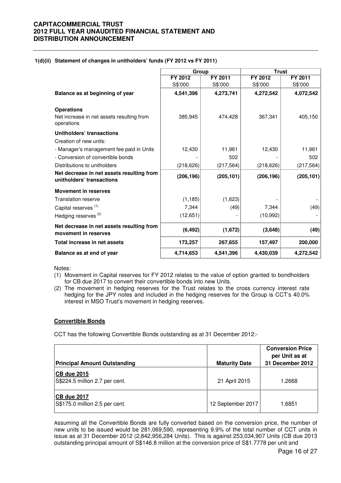#### **1(d)(ii) Statement of changes in unitholders' funds (FY 2012 vs FY 2011)**

|                                                                        | Group      |            | <b>Trust</b> |            |
|------------------------------------------------------------------------|------------|------------|--------------|------------|
|                                                                        | FY 2012    | FY 2011    | FY 2012      | FY 2011    |
|                                                                        | S\$'000    | S\$'000    | S\$'000      | S\$'000    |
| Balance as at beginning of year                                        | 4,541,396  | 4,273,741  | 4,272,542    | 4,072,542  |
| <b>Operations</b>                                                      |            |            |              |            |
| Net increase in net assets resulting from<br>operations                | 385,945    | 474,428    | 367,341      | 405,150    |
| Unitholders' transactions                                              |            |            |              |            |
| Creation of new units:                                                 |            |            |              |            |
| - Manager's management fee paid in Units                               | 12,430     | 11,961     | 12,430       | 11,961     |
| - Conversion of convertible bonds                                      |            | 502        |              | 502        |
| Distributions to unitholders                                           | (218, 626) | (217, 564) | (218, 626)   | (217, 564) |
| Net decrease in net assets resulting from<br>unitholders' transactions | (206, 196) | (205, 101) | (206, 196)   | (205, 101) |
| <b>Movement in reserves</b>                                            |            |            |              |            |
| <b>Translation reserve</b>                                             | (1, 185)   | (1,623)    |              |            |
| Capital reserves <sup>(1)</sup>                                        | 7,344      | (49)       | 7,344        | (49)       |
| Hedging reserves <sup>(2)</sup>                                        | (12,651)   |            | (10, 992)    |            |
| Net decrease in net assets resulting from<br>movement in reserves      | (6, 492)   | (1,672)    | (3,648)      | (49)       |
| Total increase in net assets                                           | 173,257    | 267,655    | 157,497      | 200,000    |
| Balance as at end of year                                              | 4,714,653  | 4,541,396  | 4,430,039    | 4,272,542  |

Notes:

- (1) Movement in Capital reserves for FY 2012 relates to the value of option granted to bondholders for CB due 2017 to convert their convertible bonds into new Units.
- (2) The movement in hedging reserves for the Trust relates to the cross currency interest rate hedging for the JPY notes and included in the hedging reserves for the Group is CCT's 40.0% interest in MSO Trust's movement in hedging reserves.

#### **Convertible Bonds**

CCT has the following Convertible Bonds outstanding as at 31 December 2012:-

| <b>Principal Amount Outstanding</b>                  | <b>Maturity Date</b> | <b>Conversion Price</b><br>per Unit as at<br>31 December 2012 |
|------------------------------------------------------|----------------------|---------------------------------------------------------------|
| <b>CB due 2015</b><br>S\$224.5 million 2.7 per cent. | 21 April 2015        | 1.2668                                                        |
| <b>CB due 2017</b><br>S\$175.0 million 2.5 per cent. | 12 September 2017    | 1.6851                                                        |

Assuming all the Convertible Bonds are fully converted based on the conversion price, the number of new units to be issued would be 281,069,590, representing 9.9% of the total number of CCT units in issue as at 31 December 2012 (2,842,956,284 Units). This is against 253,034,907 Units (CB due 2013 outstanding principal amount of S\$146.8 million at the conversion price of S\$1.7778 per unit and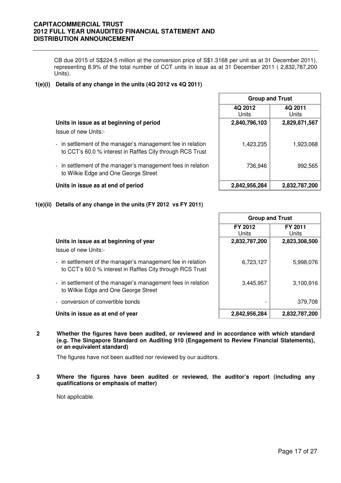CB due 2015 of S\$224.5 million at the conversion price of S\$1.3168 per unit as at 31 December 2011), representing 8.9% of the total number of CCT units in issue as at 31 December 2011 ( 2,832,787,200 Units).

#### **1(e)(i) Details of any change in the units (4Q 2012 vs 4Q 2011)**

|                                                                                                                           | <b>Group and Trust</b> |                  |  |  |
|---------------------------------------------------------------------------------------------------------------------------|------------------------|------------------|--|--|
|                                                                                                                           | 4Q 2012<br>Units       | 4Q 2011<br>Units |  |  |
| Units in issue as at beginning of period                                                                                  | 2,840,796,103          | 2,829,871,567    |  |  |
| Issue of new Units:-                                                                                                      |                        |                  |  |  |
| - in settlement of the manager's management fee in relation<br>to CCT's 60.0 % interest in Raffles City through RCS Trust | 1,423,235              | 1,923,068        |  |  |
| - in settlement of the manager's management fees in relation<br>to Wilkie Edge and One George Street                      | 736,946                | 992,565          |  |  |
| Units in issue as at end of period                                                                                        | 2,842,956,284          | 2,832,787,200    |  |  |

**1(e)(ii) Details of any change in the units (FY 2012 vs FY 2011)**

|                                                                                                                           |                  | <b>Group and Trust</b> |  |  |  |
|---------------------------------------------------------------------------------------------------------------------------|------------------|------------------------|--|--|--|
|                                                                                                                           | FY 2012<br>Units | FY 2011<br>Units       |  |  |  |
| Units in issue as at beginning of year<br>Issue of new Units:-                                                            | 2,832,787,200    | 2,823,308,500          |  |  |  |
| - in settlement of the manager's management fee in relation<br>to CCT's 60.0 % interest in Raffles City through RCS Trust | 6,723,127        | 5,998,076              |  |  |  |
| - in settlement of the manager's management fees in relation<br>to Wilkie Edge and One George Street                      | 3,445,957        | 3,100,916              |  |  |  |
| - conversion of convertible bonds                                                                                         |                  | 379,708                |  |  |  |
| Units in issue as at end of year                                                                                          | 2,842,956,284    | 2,832,787,200          |  |  |  |

**2 Whether the figures have been audited, or reviewed and in accordance with which standard (e.g. The Singapore Standard on Auditing 910 (Engagement to Review Financial Statements), or an equivalent standard)** 

The figures have not been audited nor reviewed by our auditors.

**3 Where the figures have been audited or reviewed, the auditor's report (including any qualifications or emphasis of matter)** 

Not applicable.

ī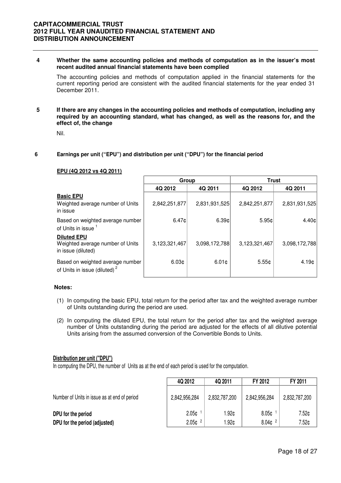#### **4 Whether the same accounting policies and methods of computation as in the issuer's most recent audited annual financial statements have been complied**

The accounting policies and methods of computation applied in the financial statements for the current reporting period are consistent with the audited financial statements for the year ended 31 December 2011.

**5 If there are any changes in the accounting policies and methods of computation, including any required by an accounting standard, what has changed, as well as the reasons for, and the effect of, the change** 

Nil.

#### **6 Earnings per unit ("EPU") and distribution per unit ("DPU") for the financial period**

|                                                                              | Group             |               | <b>Trust</b>      |                   |  |
|------------------------------------------------------------------------------|-------------------|---------------|-------------------|-------------------|--|
|                                                                              | 4Q 2012           | 4Q 2011       | 4Q 2012           | 4Q 2011           |  |
| <b>Basic EPU</b><br>Weighted average number of Units<br>in issue             | 2,842,251,877     | 2,831,931,525 | 2,842,251,877     | 2,831,931,525     |  |
| Based on weighted average number<br>of Units in issue <sup>1</sup>           | 6.47c             | 6.39c         | 5.95c             | 4.40 <sub>¢</sub> |  |
| <b>Diluted EPU</b><br>Weighted average number of Units<br>in issue (diluted) | 3,123,321,467     | 3,098,172,788 | 3,123,321,467     | 3,098,172,788     |  |
| Based on weighted average number<br>of Units in issue (diluted) <sup>2</sup> | 6.03 <sub>¢</sub> | 6.01¢         | 5.55 <sub>¢</sub> | 4.19 <sub>0</sub> |  |

#### **EPU (4Q 2012 vs 4Q 2011)**

#### **Notes:**

- (1) In computing the basic EPU, total return for the period after tax and the weighted average number of Units outstanding during the period are used.
- (2) In computing the diluted EPU, the total return for the period after tax and the weighted average number of Units outstanding during the period are adjusted for the effects of all dilutive potential Units arising from the assumed conversion of the Convertible Bonds to Units.

#### **Distribution per unit ("DPU")**

In computing the DPU, the number of Units as at the end of each period is used for the computation.

| 4Q 2012           | 4Q 2011            | FY 2012           | FY 2011            |
|-------------------|--------------------|-------------------|--------------------|
| 2,842,956,284     | 2,832,787,200      | 2,842,956,284     | 2,832,787,200      |
| 2.05 <sub>0</sub> | 1.92¢              | 8.05 <sub>c</sub> | 7.52¢<br>7.52¢     |
|                   | 2.05c <sup>2</sup> | l.92¢             | 8.04c <sup>2</sup> |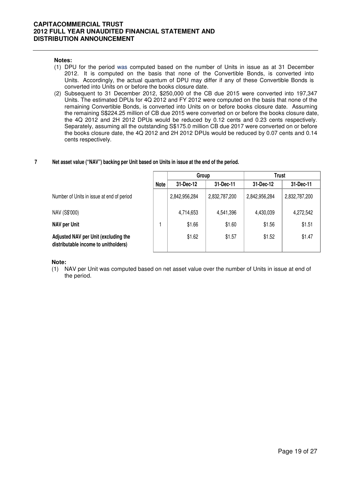#### **Notes:**

- (1) DPU for the period was computed based on the number of Units in issue as at 31 December 2012. It is computed on the basis that none of the Convertible Bonds, is converted into Units. Accordingly, the actual quantum of DPU may differ if any of these Convertible Bonds is converted into Units on or before the books closure date.
- (2) Subsequent to 31 December 2012, \$250,000 of the CB due 2015 were converted into 197,347 Units. The estimated DPUs for 4Q 2012 and FY 2012 were computed on the basis that none of the remaining Convertible Bonds, is converted into Units on or before books closure date. Assuming the remaining S\$224.25 million of CB due 2015 were converted on or before the books closure date, the 4Q 2012 and 2H 2012 DPUs would be reduced by 0.12 cents and 0.23 cents respectively. Separately, assuming all the outstanding S\$175.0 million CB due 2017 were converted on or before the books closure date, the 4Q 2012 and 2H 2012 DPUs would be reduced by 0.07 cents and 0.14 cents respectively.

#### **7 Net asset value ("NAV") backing per Unit based on Units in issue at the end of the period.**

|                                                                              |             | Group         |               | Trust         |               |  |
|------------------------------------------------------------------------------|-------------|---------------|---------------|---------------|---------------|--|
|                                                                              | <b>Note</b> | 31-Dec-12     | 31-Dec-11     | 31-Dec-12     | 31-Dec-11     |  |
| Number of Units in issue at end of period                                    |             | 2,842,956,284 | 2,832,787,200 | 2,842,956,284 | 2,832,787,200 |  |
| NAV (S\$'000)                                                                |             | 4,714,653     | 4,541,396     | 4,430,039     | 4,272,542     |  |
| NAV per Unit                                                                 |             | \$1.66        | \$1.60        | \$1.56        | \$1.51        |  |
| Adjusted NAV per Unit (excluding the<br>distributable income to unitholders) |             | \$1.62        | \$1.57        | \$1.52        | \$1.47        |  |

**Note:**

(1) NAV per Unit was computed based on net asset value over the number of Units in issue at end of the period.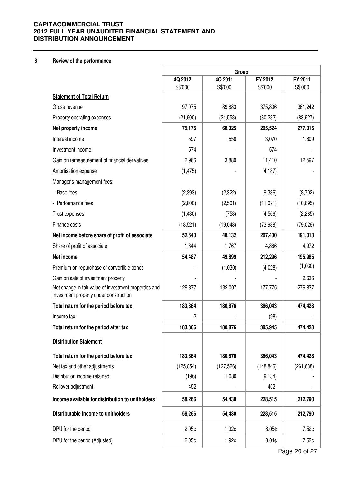#### **8 Review of the performance**

|                                                                                                 | Group             |            |                   |               |
|-------------------------------------------------------------------------------------------------|-------------------|------------|-------------------|---------------|
|                                                                                                 | 4Q 2012           | 4Q 2011    | FY 2012           | FY 2011       |
| <b>Statement of Total Return</b>                                                                | S\$'000           | S\$'000    | S\$'000           | S\$'000       |
| Gross revenue                                                                                   | 97,075            | 89,883     | 375,806           | 361,242       |
| Property operating expenses                                                                     | (21,900)          | (21, 558)  | (80, 282)         | (83, 927)     |
|                                                                                                 | 75,175            |            | 295,524           |               |
| Net property income<br>Interest income                                                          | 597               | 68,325     |                   | 277,315       |
|                                                                                                 | 574               | 556        | 3,070<br>574      | 1,809         |
| Investment income                                                                               |                   |            |                   |               |
| Gain on remeasurement of financial derivatives                                                  | 2,966             | 3,880      | 11,410            | 12,597        |
| Amortisation expense                                                                            | (1, 475)          |            | (4, 187)          |               |
| Manager's management fees:                                                                      |                   |            |                   |               |
| - Base fees                                                                                     | (2, 393)          | (2,322)    | (9,336)           | (8,702)       |
| - Performance fees                                                                              | (2,800)           | (2,501)    | (11, 071)         | (10, 695)     |
| Trust expenses                                                                                  | (1,480)           | (758)      | (4, 566)          | (2,285)       |
| Finance costs                                                                                   | (18, 521)         | (19,048)   | (73,988)          | (79, 026)     |
| Net income before share of profit of associate                                                  | 52,643            | 48,132     | 207,430           | 191,013       |
| Share of profit of associate                                                                    | 1,844             | 1,767      | 4,866             | 4,972         |
| Net income                                                                                      | 54,487            | 49,899     | 212,296           | 195,985       |
| Premium on repurchase of convertible bonds                                                      |                   | (1,030)    | (4,028)           | (1,030)       |
| Gain on sale of investment property                                                             |                   |            |                   | 2,636         |
| Net change in fair value of investment properties and<br>investment property under construction | 129,377           | 132,007    | 177,775           | 276,837       |
| Total return for the period before tax                                                          | 183,864           | 180,876    | 386,043           | 474,428       |
| Income tax                                                                                      | 2                 |            | (98)              |               |
| Total return for the period after tax                                                           | 183,866           | 180,876    | 385,945           | 474,428       |
| <b>Distribution Statement</b>                                                                   |                   |            |                   |               |
| Total return for the period before tax                                                          | 183,864           | 180,876    | 386,043           | 474,428       |
| Net tax and other adjustments                                                                   | (125, 854)        | (127, 526) | (148, 846)        | (261, 638)    |
| Distribution income retained                                                                    | (196)             | 1,080      | (9, 134)          |               |
| Rollover adjustment                                                                             | 452               |            | 452               |               |
| Income available for distribution to unitholders                                                | 58,266            | 54,430     | 228,515           | 212,790       |
| Distributable income to unitholders                                                             | 58,266            | 54,430     | 228,515           | 212,790       |
| DPU for the period                                                                              | 2.05 <sub>¢</sub> | 1.92¢      | 8.05¢             | 7.52¢         |
| DPU for the period (Adjusted)                                                                   | 2.05 <sub>¢</sub> | 1.92¢      | 8.04 <sub>¢</sub> | 7.52¢         |
|                                                                                                 |                   |            |                   | Page 20 of 27 |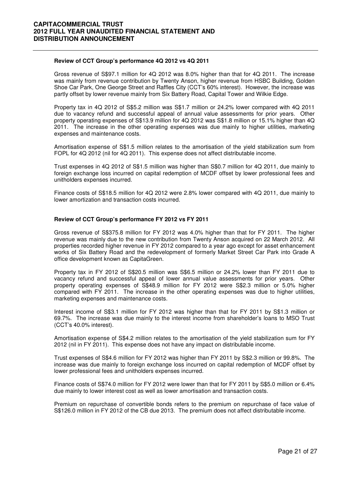#### **Review of CCT Group's performance 4Q 2012 vs 4Q 2011**

 Gross revenue of S\$97.1 million for 4Q 2012 was 8.0% higher than that for 4Q 2011. The increase was mainly from revenue contribution by Twenty Anson, higher revenue from HSBC Building, Golden Shoe Car Park, One George Street and Raffles City (CCT's 60% interest). However, the increase was partly offset by lower revenue mainly from Six Battery Road, Capital Tower and Wilkie Edge.

Property tax in 4Q 2012 of S\$5.2 million was S\$1.7 million or 24.2% lower compared with 4Q 2011 due to vacancy refund and successful appeal of annual value assessments for prior years. Other property operating expenses of S\$13.9 million for 4Q 2012 was S\$1.8 million or 15.1% higher than 4Q 2011. The increase in the other operating expenses was due mainly to higher utilities, marketing expenses and maintenance costs.

Amortisation expense of S\$1.5 million relates to the amortisation of the yield stabilization sum from FOPL for 4Q 2012 (nil for 4Q 2011). This expense does not affect distributable income.

Trust expenses in 4Q 2012 of S\$1.5 million was higher than S\$0.7 million for 4Q 2011, due mainly to foreign exchange loss incurred on capital redemption of MCDF offset by lower professional fees and unitholders expenses incurred.

Finance costs of S\$18.5 million for 4Q 2012 were 2.8% lower compared with 4Q 2011, due mainly to lower amortization and transaction costs incurred.

#### **Review of CCT Group's performance FY 2012 vs FY 2011**

Gross revenue of S\$375.8 million for FY 2012 was 4.0% higher than that for FY 2011. The higher revenue was mainly due to the new contribution from Twenty Anson acquired on 22 March 2012. All properties recorded higher revenue in FY 2012 compared to a year ago except for asset enhancement works of Six Battery Road and the redevelopment of formerly Market Street Car Park into Grade A office development known as CapitaGreen.

Property tax in FY 2012 of S\$20.5 million was S\$6.5 million or 24.2% lower than FY 2011 due to vacancy refund and successful appeal of lower annual value assessments for prior years. Other property operating expenses of S\$48.9 million for FY 2012 were S\$2.3 million or 5.0% higher compared with FY 2011. The increase in the other operating expenses was due to higher utilities, marketing expenses and maintenance costs.

Interest income of S\$3.1 million for FY 2012 was higher than that for FY 2011 by S\$1.3 million or 69.7%. The increase was due mainly to the interest income from shareholder's loans to MSO Trust (CCT's 40.0% interest).

Amortisation expense of S\$4.2 million relates to the amortisation of the yield stabilization sum for FY 2012 (nil in FY 2011). This expense does not have any impact on distributable income.

Trust expenses of S\$4.6 million for FY 2012 was higher than FY 2011 by S\$2.3 million or 99.8%. The increase was due mainly to foreign exchange loss incurred on capital redemption of MCDF offset by lower professional fees and unitholders expenses incurred.

Finance costs of S\$74.0 million for FY 2012 were lower than that for FY 2011 by S\$5.0 million or 6.4% due mainly to lower interest cost as well as lower amortisation and transaction costs.

Premium on repurchase of convertible bonds refers to the premium on repurchase of face value of S\$126.0 million in FY 2012 of the CB due 2013. The premium does not affect distributable income.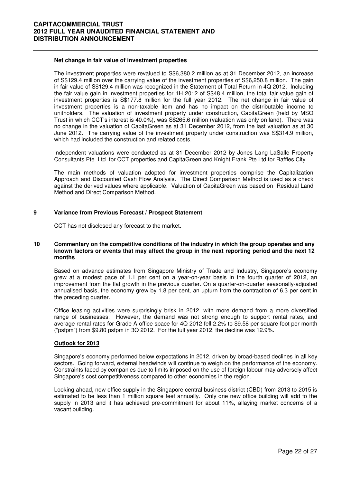#### **Net change in fair value of investment properties**

The investment properties were revalued to S\$6,380.2 million as at 31 December 2012, an increase of S\$129.4 million over the carrying value of the investment properties of S\$6,250.8 million. The gain in fair value of S\$129.4 million was recognized in the Statement of Total Return in 4Q 2012. Including the fair value gain in investment properties for 1H 2012 of S\$48.4 million, the total fair value gain of investment properties is S\$177.8 million for the full year 2012. The net change in fair value of investment properties is a non-taxable item and has no impact on the distributable income to unitholders. The valuation of investment property under construction, CapitaGreen (held by MSO Trust in which CCT's interest is 40.0%), was S\$265.6 million (valuation was only on land). There was no change in the valuation of CapitaGreen as at 31 December 2012, from the last valuation as at 30 June 2012. The carrying value of the investment property under construction was S\$314.9 million, which had included the construction and related costs.

Independent valuations were conducted as at 31 December 2012 by Jones Lang LaSalle Property Consultants Pte. Ltd. for CCT properties and CapitaGreen and Knight Frank Pte Ltd for Raffles City.

The main methods of valuation adopted for investment properties comprise the Capitalization Approach and Discounted Cash Flow Analysis. The Direct Comparison Method is used as a check against the derived values where applicable. Valuation of CapitaGreen was based on Residual Land Method and Direct Comparison Method.

#### **9 Variance from Previous Forecast / Prospect Statement**

CCT has not disclosed any forecast to the market**.** 

#### **10 Commentary on the competitive conditions of the industry in which the group operates and any known factors or events that may affect the group in the next reporting period and the next 12 months**

Based on advance estimates from Singapore Ministry of Trade and Industry, Singapore's economy grew at a modest pace of 1.1 per cent on a year-on-year basis in the fourth quarter of 2012, an improvement from the flat growth in the previous quarter. On a quarter-on-quarter seasonally-adjusted annualised basis, the economy grew by 1.8 per cent, an upturn from the contraction of 6.3 per cent in the preceding quarter.

Office leasing activities were surprisingly brisk in 2012, with more demand from a more diversified range of businesses. However, the demand was not strong enough to support rental rates, and average rental rates for Grade A office space for 4Q 2012 fell 2.2% to \$9.58 per square foot per month ("psfpm") from \$9.80 psfpm in  $3Q$  2012. For the full year 2012, the decline was 12.9%.

#### **Outlook for 2013**

Singapore's economy performed below expectations in 2012, driven by broad-based declines in all key sectors. Going forward, external headwinds will continue to weigh on the performance of the economy. Constraints faced by companies due to limits imposed on the use of foreign labour may adversely affect Singapore's cost competitiveness compared to other economies in the region.

Looking ahead, new office supply in the Singapore central business district (CBD) from 2013 to 2015 is estimated to be less than 1 million square feet annually. Only one new office building will add to the supply in 2013 and it has achieved pre-commitment for about 11%, allaying market concerns of a vacant building.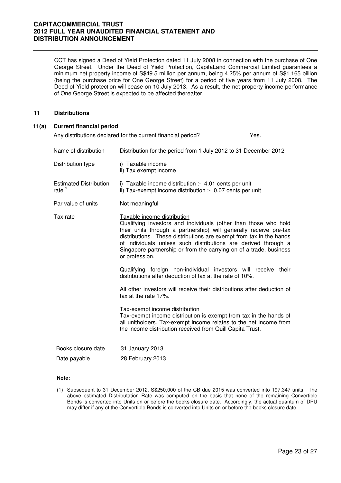CCT has signed a Deed of Yield Protection dated 11 July 2008 in connection with the purchase of One George Street. Under the Deed of Yield Protection, CapitaLand Commercial Limited guarantees a minimum net property income of S\$49.5 million per annum, being 4.25% per annum of S\$1.165 billion (being the purchase price for One George Street) for a period of five years from 11 July 2008. The Deed of Yield protection will cease on 10 July 2013. As a result, the net property income performance of One George Street is expected to be affected thereafter.

#### **11 Distributions**

| 11(a) | <b>Current financial period</b>                    |                                                                                                                                                                                                                                                                                                                                                                                                      |      |  |  |
|-------|----------------------------------------------------|------------------------------------------------------------------------------------------------------------------------------------------------------------------------------------------------------------------------------------------------------------------------------------------------------------------------------------------------------------------------------------------------------|------|--|--|
|       |                                                    | Any distributions declared for the current financial period?                                                                                                                                                                                                                                                                                                                                         | Yes. |  |  |
|       | Name of distribution                               | Distribution for the period from 1 July 2012 to 31 December 2012                                                                                                                                                                                                                                                                                                                                     |      |  |  |
|       | Distribution type                                  | i) Taxable income<br>ii) Tax exempt income                                                                                                                                                                                                                                                                                                                                                           |      |  |  |
|       | <b>Estimated Distribution</b><br>rate <sup>1</sup> | i) Taxable income distribution :- 4.01 cents per unit<br>ii) Tax-exempt income distribution :- 0.07 cents per unit                                                                                                                                                                                                                                                                                   |      |  |  |
|       | Par value of units                                 | Not meaningful                                                                                                                                                                                                                                                                                                                                                                                       |      |  |  |
|       | Tax rate                                           | Taxable income distribution<br>Qualifying investors and individuals (other than those who hold<br>their units through a partnership) will generally receive pre-tax<br>distributions. These distributions are exempt from tax in the hands<br>of individuals unless such distributions are derived through a<br>Singapore partnership or from the carrying on of a trade, business<br>or profession. |      |  |  |
|       |                                                    | Qualifying foreign non-individual investors will receive their<br>distributions after deduction of tax at the rate of 10%.                                                                                                                                                                                                                                                                           |      |  |  |
|       |                                                    | All other investors will receive their distributions after deduction of<br>tax at the rate 17%.                                                                                                                                                                                                                                                                                                      |      |  |  |
|       |                                                    | Tax-exempt income distribution<br>Tax-exempt income distribution is exempt from tax in the hands of<br>all unitholders. Tax-exempt income relates to the net income from<br>the income distribution received from Quill Capita Trust.                                                                                                                                                                |      |  |  |
|       | Books closure date                                 | 31 January 2013                                                                                                                                                                                                                                                                                                                                                                                      |      |  |  |
|       | Date payable                                       | 28 February 2013                                                                                                                                                                                                                                                                                                                                                                                     |      |  |  |

#### **Note:**

(1) Subsequent to 31 December 2012. S\$250,000 of the CB due 2015 was converted into 197,347 units. The above estimated Distributation Rate was computed on the basis that none of the remaining Convertible Bonds is converted into Units on or before the books closure date. Accordingly, the actual quantum of DPU may differ if any of the Convertible Bonds is converted into Units on or before the books closure date.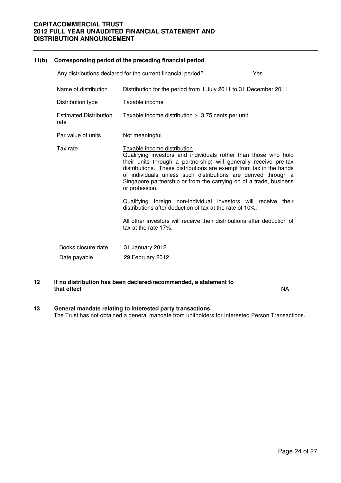### **11(b) Corresponding period of the preceding financial period**  Any distributions declared for the current financial period? Yes. Name of distribution Distribution for the period from 1 July 2011 to 31 December 2011 Distribution type Taxable income Estimated Distribution rate Taxable income distribution :- 3.75 cents per unit Par value of units Not meaningful Tax rate Taxable income distribution Qualifying investors and individuals (other than those who hold their units through a partnership) will generally receive pre-tax distributions. These distributions are exempt from tax in the hands of individuals unless such distributions are derived through a Singapore partnership or from the carrying on of a trade, business or profession. Qualifying foreign non-individual investors will receive their distributions after deduction of tax at the rate of 10%. All other investors will receive their distributions after deduction of tax at the rate 17%. Books closure date 31 January 2012 Date payable 29 February 2012

#### **12 If no distribution has been declared/recommended, a statement to that effect** NA

## **13 General mandate relating to interested party transactions**

The Trust has not obtained a general mandate from unitholders for Interested Person Transactions.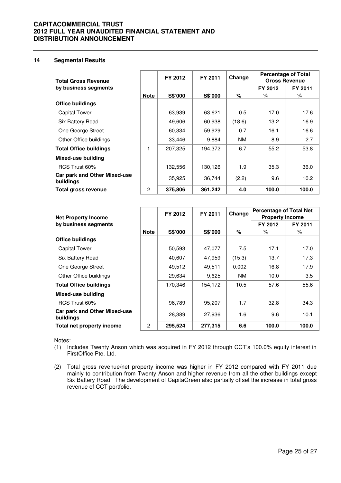#### **14 Segmental Results**

| <b>Total Gross Revenue</b>                       |             | FY 2012 | FY 2011 | <b>Percentage of Total</b><br>Change<br><b>Gross Revenue</b> |         |         |
|--------------------------------------------------|-------------|---------|---------|--------------------------------------------------------------|---------|---------|
| by business segments                             |             |         |         |                                                              | FY 2012 | FY 2011 |
|                                                  | <b>Note</b> | S\$'000 | S\$'000 | %                                                            | ℅       | ℅       |
| <b>Office buildings</b>                          |             |         |         |                                                              |         |         |
| <b>Capital Tower</b>                             |             | 63,939  | 63,621  | 0.5                                                          | 17.0    | 17.6    |
| Six Battery Road                                 |             | 49,606  | 60,938  | (18.6)                                                       | 13.2    | 16.9    |
| One George Street                                |             | 60,334  | 59,929  | 0.7                                                          | 16.1    | 16.6    |
| Other Office buildings                           |             | 33,446  | 9,884   | NM.                                                          | 8.9     | 2.7     |
| <b>Total Office buildings</b>                    | 1           | 207,325 | 194,372 | 6.7                                                          | 55.2    | 53.8    |
| <b>Mixed-use building</b>                        |             |         |         |                                                              |         |         |
| RCS Trust 60%                                    |             | 132,556 | 130,126 | 1.9                                                          | 35.3    | 36.0    |
| <b>Car park and Other Mixed-use</b><br>buildings |             | 35,925  | 36,744  | (2.2)                                                        | 9.6     | 10.2    |
| Total gross revenue                              | 2           | 375,806 | 361,242 | 4.0                                                          | 100.0   | 100.0   |

|                                           |             | FY 2012 | FY 2011 | Change                 | <b>Percentage of Total Net</b> |         |
|-------------------------------------------|-------------|---------|---------|------------------------|--------------------------------|---------|
| <b>Net Property Income</b>                |             |         |         | <b>Property Income</b> |                                |         |
| by business segments                      |             |         |         |                        | FY 2012                        | FY 2011 |
|                                           | <b>Note</b> | S\$'000 | S\$'000 | %                      | $\%$                           | $\%$    |
| <b>Office buildings</b>                   |             |         |         |                        |                                |         |
| <b>Capital Tower</b>                      |             | 50,593  | 47,077  | 7.5                    | 17.1                           | 17.0    |
| Six Battery Road                          |             | 40,607  | 47,959  | (15.3)                 | 13.7                           | 17.3    |
| One George Street                         |             | 49,512  | 49.511  | 0.002                  | 16.8                           | 17.9    |
| Other Office buildings                    |             | 29,634  | 9.625   | NM.                    | 10.0                           | 3.5     |
| <b>Total Office buildings</b>             |             | 170,346 | 154,172 | 10.5                   | 57.6                           | 55.6    |
| Mixed-use building                        |             |         |         |                        |                                |         |
| RCS Trust 60%                             |             | 96,789  | 95,207  | 1.7                    | 32.8                           | 34.3    |
| Car park and Other Mixed-use<br>buildings |             | 28,389  | 27,936  | 1.6                    | 9.6                            | 10.1    |
| Total net property income                 | 2           | 295,524 | 277.315 | 6.6                    | 100.0                          | 100.0   |

Notes:

- (1) Includes Twenty Anson which was acquired in FY 2012 through CCT's 100.0% equity interest in FirstOffice Pte. Ltd.
- (2) Total gross revenue/net property income was higher in FY 2012 compared with FY 2011 due mainly to contribution from Twenty Anson and higher revenue from all the other buildings except Six Battery Road. The development of CapitaGreen also partially offset the increase in total gross revenue of CCT portfolio.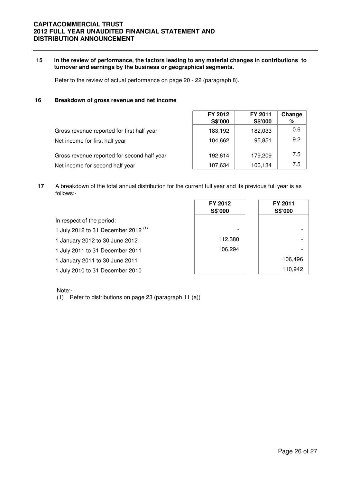#### **15 In the review of performance, the factors leading to any material changes in contributions to turnover and earnings by the business or geographical segments.**

Refer to the review of actual performance on page 20 - 22 (paragraph 8).

#### **16 Breakdown of gross revenue and net income**

|                                             | FY 2012<br>S\$'000 | FY 2011<br>S\$'000 | Change<br>% |
|---------------------------------------------|--------------------|--------------------|-------------|
| Gross revenue reported for first half year  | 183,192            | 182,033            | 0.6         |
| Net income for first half year              | 104.662            | 95,851             | 9.2         |
| Gross revenue reported for second half year | 192,614            | 179,209            | 7.5         |
| Net income for second half year             | 107,634            | 100,134            | 7.5         |

**17** A breakdown of the total annual distribution for the current full year and its previous full year is as follows:-

|                                       | FY 2012<br>S\$'000 | FY 2011<br>S\$'000 |
|---------------------------------------|--------------------|--------------------|
| In respect of the period:             |                    |                    |
| 1 July 2012 to 31 December 2012 $(1)$ | -                  |                    |
| 1 January 2012 to 30 June 2012        | 112,380            |                    |
| 1 July 2011 to 31 December 2011       | 106,294            |                    |
| 1 January 2011 to 30 June 2011        |                    | 106,496            |
| 1 July 2010 to 31 December 2010       |                    | 110,942            |

Note:-

(1) Refer to distributions on page 23 (paragraph 11 (a))